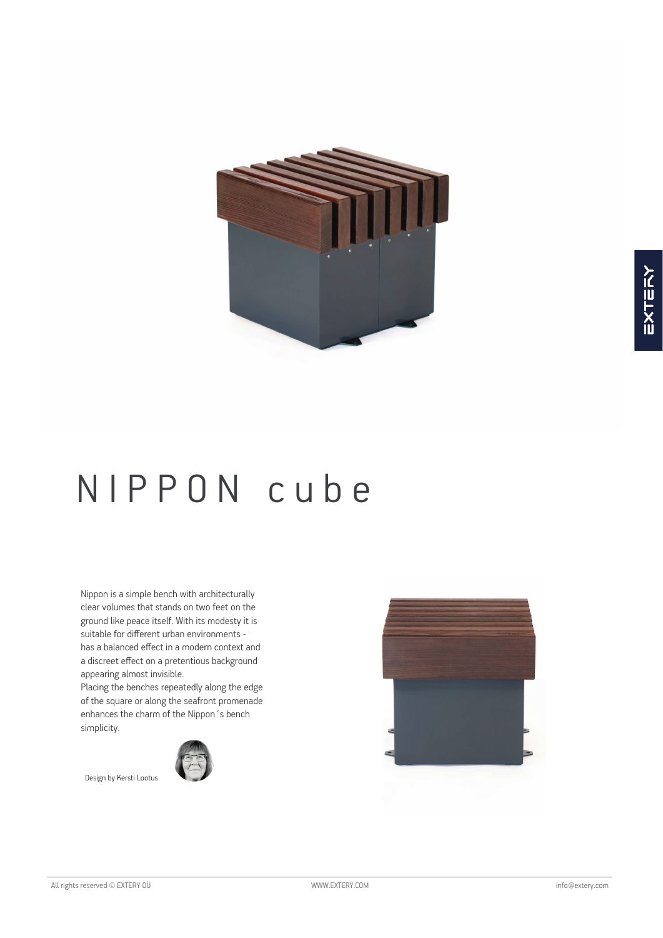

# N I P P O N c u b e

Nippon is a simple bench with architecturally clear volumes that stands on two feet on the ground like peace itself. With its modesty it is suitable for different urban environments has a balanced effect in a modern context and a discreet effect on a pretentious background appearing almost invisible.

Placing the benches repeatedly along the edge of the square or along the seafront promenade enhances the charm of the Nippon´s bench simplicity.